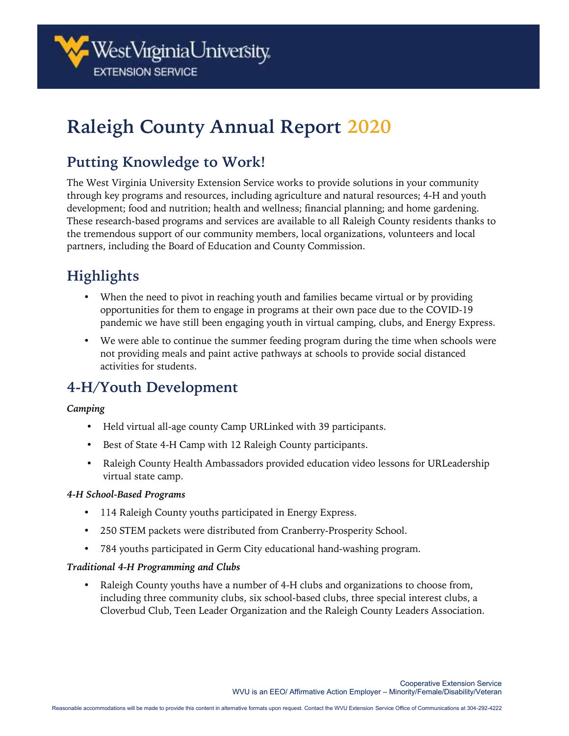# **Raleigh County Annual Report 2020**

## **Putting Knowledge to Work!**

The West Virginia University Extension Service works to provide solutions in your community through key programs and resources, including agriculture and natural resources; 4-H and youth development; food and nutrition; health and wellness; financial planning; and home gardening. These research-based programs and services are available to all Raleigh County residents thanks to the tremendous support of our community members, local organizations, volunteers and local partners, including the Board of Education and County Commission.

## **Highlights**

- When the need to pivot in reaching youth and families became virtual or by providing opportunities for them to engage in programs at their own pace due to the COVID-19 pandemic we have still been engaging youth in virtual camping, clubs, and Energy Express.
- We were able to continue the summer feeding program during the time when schools were not providing meals and paint active pathways at schools to provide social distanced activities for students.

## **4-H/Youth Development**

#### *Camping*

- Held virtual all-age county Camp URLinked with 39 participants.
- Best of State 4-H Camp with 12 Raleigh County participants.
- Raleigh County Health Ambassadors provided education video lessons for URLeadership virtual state camp.

#### *4-H School-Based Programs*

- 114 Raleigh County youths participated in Energy Express.
- 250 STEM packets were distributed from Cranberry-Prosperity School.
- 784 youths participated in Germ City educational hand-washing program.

#### *Traditional 4-H Programming and Clubs*

Raleigh County youths have a number of 4-H clubs and organizations to choose from, including three community clubs, six school-based clubs, three special interest clubs, a Cloverbud Club, Teen Leader Organization and the Raleigh County Leaders Association.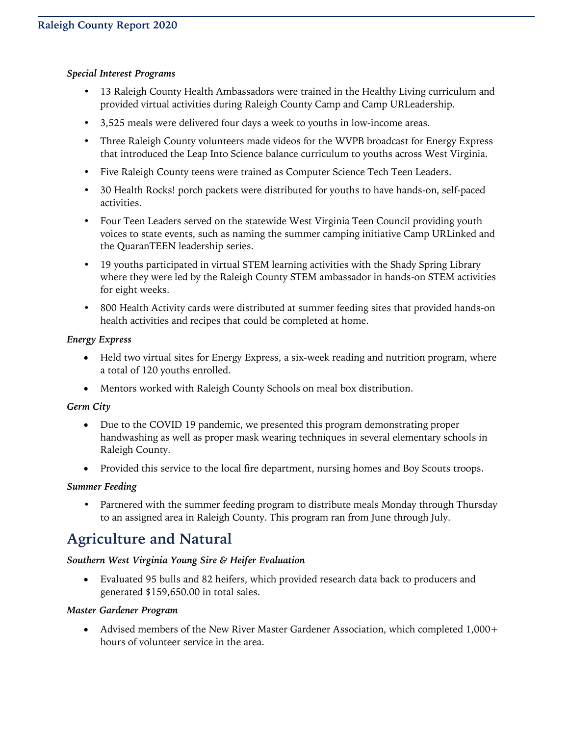#### *Special Interest Programs*

- 13 Raleigh County Health Ambassadors were trained in the Healthy Living curriculum and provided virtual activities during Raleigh County Camp and Camp URLeadership.
- 3,525 meals were delivered four days a week to youths in low-income areas.
- Three Raleigh County volunteers made videos for the WVPB broadcast for Energy Express that introduced the Leap Into Science balance curriculum to youths across West Virginia.
- Five Raleigh County teens were trained as Computer Science Tech Teen Leaders.
- 30 Health Rocks! porch packets were distributed for youths to have hands-on, self-paced activities.
- Four Teen Leaders served on the statewide West Virginia Teen Council providing youth voices to state events, such as naming the summer camping initiative Camp URLinked and the QuaranTEEN leadership series.
- 19 youths participated in virtual STEM learning activities with the Shady Spring Library where they were led by the Raleigh County STEM ambassador in hands-on STEM activities for eight weeks.
- 800 Health Activity cards were distributed at summer feeding sites that provided hands-on health activities and recipes that could be completed at home.

#### *Energy Express*

- Held two virtual sites for Energy Express, a six-week reading and nutrition program, where a total of 120 youths enrolled.
- Mentors worked with Raleigh County Schools on meal box distribution.

#### *Germ City*

- Due to the COVID 19 pandemic, we presented this program demonstrating proper handwashing as well as proper mask wearing techniques in several elementary schools in Raleigh County.
- Provided this service to the local fire department, nursing homes and Boy Scouts troops.

#### *Summer Feeding*

• Partnered with the summer feeding program to distribute meals Monday through Thursday to an assigned area in Raleigh County. This program ran from June through July.

## **Agriculture and Natural**

#### *Southern West Virginia Young Sire & Heifer Evaluation*

• Evaluated 95 bulls and 82 heifers, which provided research data back to producers and generated \$159,650.00 in total sales.

#### *Master Gardener Program*

• Advised members of the New River Master Gardener Association, which completed 1,000+ hours of volunteer service in the area.